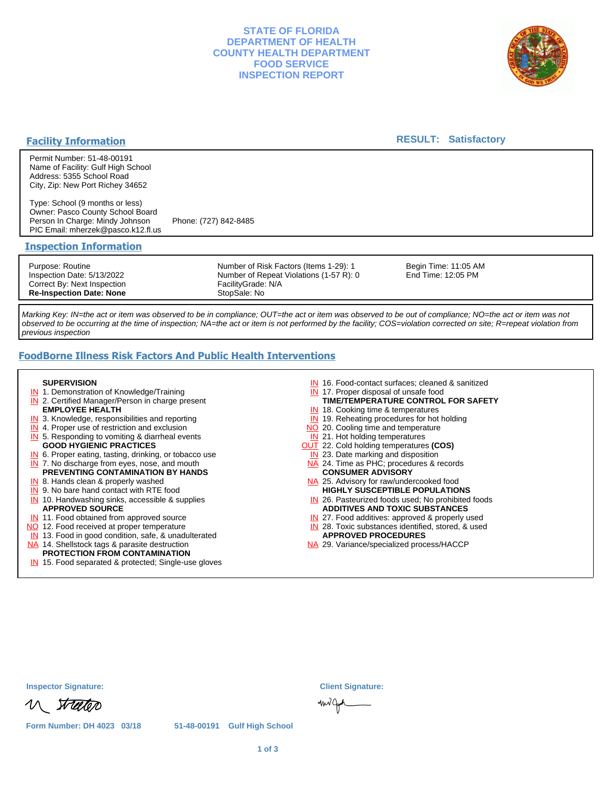## **STATE OF FLORIDA DEPARTMENT OF HEALTH COUNTY HEALTH DEPARTMENT FOOD SERVICE INSPECTION REPORT**



## **Facility Information**

### **RESULT: Satisfactory**

Permit Number: 51-48-00191 Name of Facility: Gulf High School Address: 5355 School Road City, Zip: New Port Richey 34652

Type: School (9 months or less) Owner: Pasco County School Board Person In Charge: Mindy Johnson Phone: (727) 842-8485 PIC Email: mherzek@pasco.k12.fl.us

#### **Inspection Information**

Purpose: Routine Inspection Date: 5/13/2022 Correct By: Next Inspection **Re-Inspection Date: None**

Number of Risk Factors (Items 1-29): 1 Number of Repeat Violations (1-57 R): 0 FacilityGrade: N/A StopSale: No

Begin Time: 11:05 AM End Time: 12:05 PM

Marking Key: IN=the act or item was observed to be in compliance; OUT=the act or item was observed to be out of compliance; NO=the act or item was not observed to be occurring at the time of inspection; NA=the act or item is not performed by the facility; COS=violation corrected on site; R=repeat violation from previous inspection

# **FoodBorne Illness Risk Factors And Public Health Interventions**

#### **SUPERVISION**

- **IN** 1. Demonstration of Knowledge/Training
- **IN** 2. Certified Manager/Person in charge present **EMPLOYEE HEALTH**
- **IN** 3. Knowledge, responsibilities and reporting
- **IN** 4. Proper use of restriction and exclusion
- **IN** 5. Responding to vomiting & diarrheal events
- **GOOD HYGIENIC PRACTICES**
- **IN** 6. Proper eating, tasting, drinking, or tobacco use **IN** 7. No discharge from eyes, nose, and mouth
- **PREVENTING CONTAMINATION BY HANDS**
- IN 8. Hands clean & properly washed
- **IN** 9. No bare hand contact with RTE food IN 10. Handwashing sinks, accessible & supplies **APPROVED SOURCE**
- **IN** 11. Food obtained from approved source
- NO 12. Food received at proper temperature
- IN 13. Food in good condition, safe, & unadulterated
- NA 14. Shellstock tags & parasite destruction

# **PROTECTION FROM CONTAMINATION**

IN 15. Food separated & protected; Single-use gloves

- IN 16. Food-contact surfaces; cleaned & sanitized
- IN 17. Proper disposal of unsafe food
- **TIME/TEMPERATURE CONTROL FOR SAFETY**
- IN 18. Cooking time & temperatures
- **IN** 19. Reheating procedures for hot holding NO 20. Cooling time and temperature
- IN 21. Hot holding temperatures
- OUT 22. Cold holding temperatures **(COS)**
- **IN** 23. Date marking and disposition
- NA 24. Time as PHC; procedures & records **CONSUMER ADVISORY**
- NA 25. Advisory for raw/undercooked food **HIGHLY SUSCEPTIBLE POPULATIONS**
- IN 26. Pasteurized foods used; No prohibited foods **ADDITIVES AND TOXIC SUBSTANCES**
- IN 27. Food additives: approved & properly used
- IN 28. Toxic substances identified, stored, & used **APPROVED PROCEDURES**
- NA 29. Variance/specialized process/HACCP

|  | <b>Inspector Signature:</b> |
|--|-----------------------------|
|  |                             |

traten

**Form Number: DH 4023 03/18 51-48-00191 Gulf High School**

**1 of 3**

**Inspector Signature: Client Signature:**

migh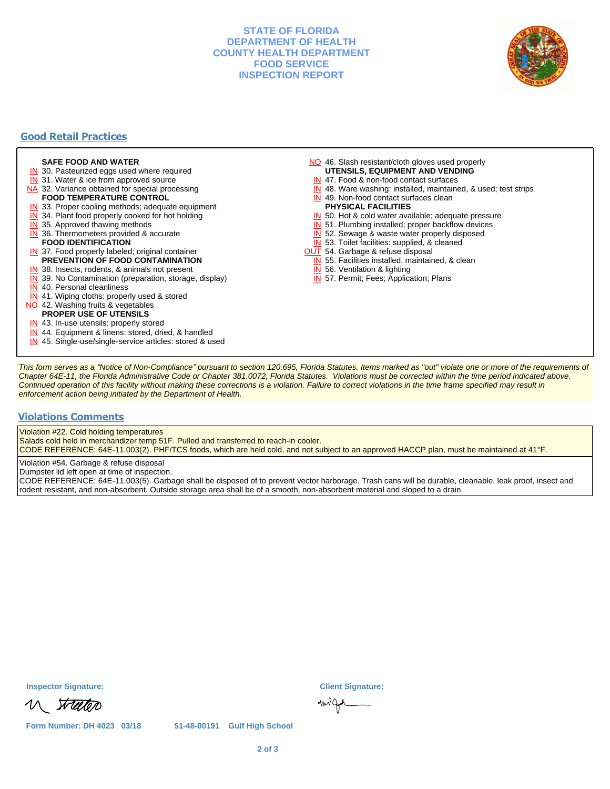## **STATE OF FLORIDA DEPARTMENT OF HEALTH COUNTY HEALTH DEPARTMENT FOOD SERVICE INSPECTION REPORT**



# **Good Retail Practices**

#### **SAFE FOOD AND WATER**

- **IN** 30. Pasteurized eggs used where required
- IN 31. Water & ice from approved source
- NA 32. Variance obtained for special processing
- **FOOD TEMPERATURE CONTROL**
- **IN** 33. Proper cooling methods; adequate equipment
- **IN** 34. Plant food properly cooked for hot holding
- **IN** 35. Approved thawing methods
- IN 36. Thermometers provided & accurate **FOOD IDENTIFICATION**
- IN 37. Food properly labeled; original container **PREVENTION OF FOOD CONTAMINATION**
- IN 38. Insects, rodents, & animals not present
- **IN** 39. No Contamination (preparation, storage, display)
- IN 40. Personal cleanliness
- IN 41. Wiping cloths: properly used & stored
- NO 42. Washing fruits & vegetables
	- **PROPER USE OF UTENSILS**
- IN 43. In-use utensils: properly stored
- IN 44. Equipment & linens: stored, dried, & handled
- IN 45. Single-use/single-service articles: stored & used
- NO 46. Slash resistant/cloth gloves used properly **UTENSILS, EQUIPMENT AND VENDING**
- IN 47. Food & non-food contact surfaces
- IN 48. Ware washing: installed, maintained, & used; test strips
- IN 49. Non-food contact surfaces clean
- **PHYSICAL FACILITIES**
- IN 50. Hot & cold water available; adequate pressure
- IN 51. Plumbing installed; proper backflow devices
- IN 52. Sewage & waste water properly disposed
- IN 53. Toilet facilities: supplied, & cleaned
- **OUT** 54. Garbage & refuse disposal
	- IN 55. Facilities installed, maintained, & clean
	- IN 56. Ventilation & lighting
	- IN 57. Permit; Fees; Application; Plans

This form serves as a "Notice of Non-Compliance" pursuant to section 120.695, Florida Statutes. Items marked as "out" violate one or more of the requirements of Chapter 64E-11, the Florida Administrative Code or Chapter 381.0072, Florida Statutes. Violations must be corrected within the time period indicated above. Continued operation of this facility without making these corrections is a violation. Failure to correct violations in the time frame specified may result in enforcement action being initiated by the Department of Health.

#### **Violations Comments**

Violation #22. Cold holding temperatures

Salads cold held in merchandizer temp 51F. Pulled and transferred to reach-in cooler.

CODE REFERENCE: 64E-11.003(2). PHF/TCS foods, which are held cold, and not subject to an approved HACCP plan, must be maintained at 41°F.

Violation #54. Garbage & refuse disposal

Dumpster lid left open at time of inspection.

CODE REFERENCE: 64E-11.003(5). Garbage shall be disposed of to prevent vector harborage. Trash cans will be durable, cleanable, leak proof, insect and rodent resistant, and non-absorbent. Outside storage area shall be of a smooth, non-absorbent material and sloped to a drain.

**Inspector Signature: Client Signature:**

U streeters

migh

**Form Number: DH 4023 03/18 51-48-00191 Gulf High School**